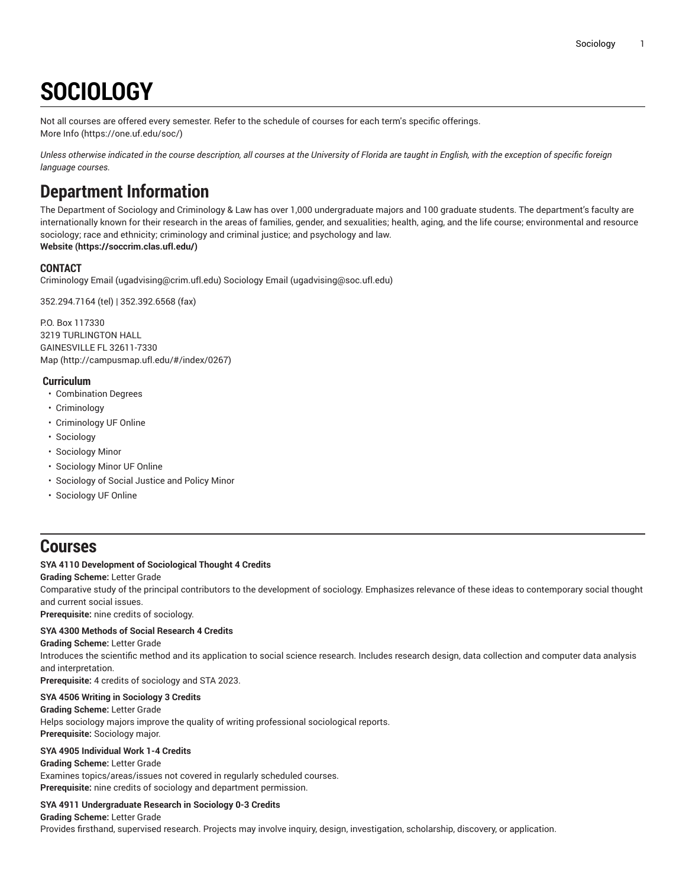# **SOCIOLOGY**

Not all courses are offered every semester. Refer to the schedule of courses for each term's specific offerings. [More](https://one.uf.edu/soc/) Info [\(https://one.uf.edu/soc/](https://one.uf.edu/soc/))

Unless otherwise indicated in the course description, all courses at the University of Florida are taught in English, with the exception of specific foreign *language courses.*

# **Department Information**

The Department of Sociology and Criminology & Law has over 1,000 undergraduate majors and 100 graduate students. The department's faculty are internationally known for their research in the areas of families, gender, and sexualities; health, aging, and the life course; environmental and resource sociology; race and ethnicity; criminology and criminal justice; and psychology and law.

**[Website](https://soccrim.clas.ufl.edu/) ([https://soccrim.clas.ufl.edu/\)](https://soccrim.clas.ufl.edu/)**

# **CONTACT**

[Criminology Email](mailto:ugadvising@crim.ufl.edu) (<ugadvising@crim.ufl.edu>) [Sociology Email](mailto:ugadvising@soc.ufl.edu) (<ugadvising@soc.ufl.edu>)

352.294.7164 (tel) | 352.392.6568 (fax)

P.O. Box 117330 3219 TURLINGTON HALL GAINESVILLE FL 32611-7330 [Map](http://campusmap.ufl.edu/#/index/0267) ([http://campusmap.ufl.edu/#/index/0267\)](http://campusmap.ufl.edu/#/index/0267)

# **Curriculum**

- Combination Degrees
- Criminology
- Criminology UF Online
- Sociology
- Sociology Minor
- Sociology Minor UF Online
- Sociology of Social Justice and Policy Minor
- Sociology UF Online

# **Courses**

# **SYA 4110 Development of Sociological Thought 4 Credits**

**Grading Scheme:** Letter Grade

Comparative study of the principal contributors to the development of sociology. Emphasizes relevance of these ideas to contemporary social thought and current social issues.

**Prerequisite:** nine credits of sociology.

# **SYA 4300 Methods of Social Research 4 Credits**

# **Grading Scheme:** Letter Grade

Introduces the scientific method and its application to social science research. Includes research design, data collection and computer data analysis and interpretation.

**Prerequisite:** 4 credits of sociology and STA 2023.

# **SYA 4506 Writing in Sociology 3 Credits**

**Grading Scheme:** Letter Grade Helps sociology majors improve the quality of writing professional sociological reports. **Prerequisite:** Sociology major.

# **SYA 4905 Individual Work 1-4 Credits**

**Grading Scheme:** Letter Grade Examines topics/areas/issues not covered in regularly scheduled courses. **Prerequisite:** nine credits of sociology and department permission.

# **SYA 4911 Undergraduate Research in Sociology 0-3 Credits**

**Grading Scheme:** Letter Grade Provides firsthand, supervised research. Projects may involve inquiry, design, investigation, scholarship, discovery, or application.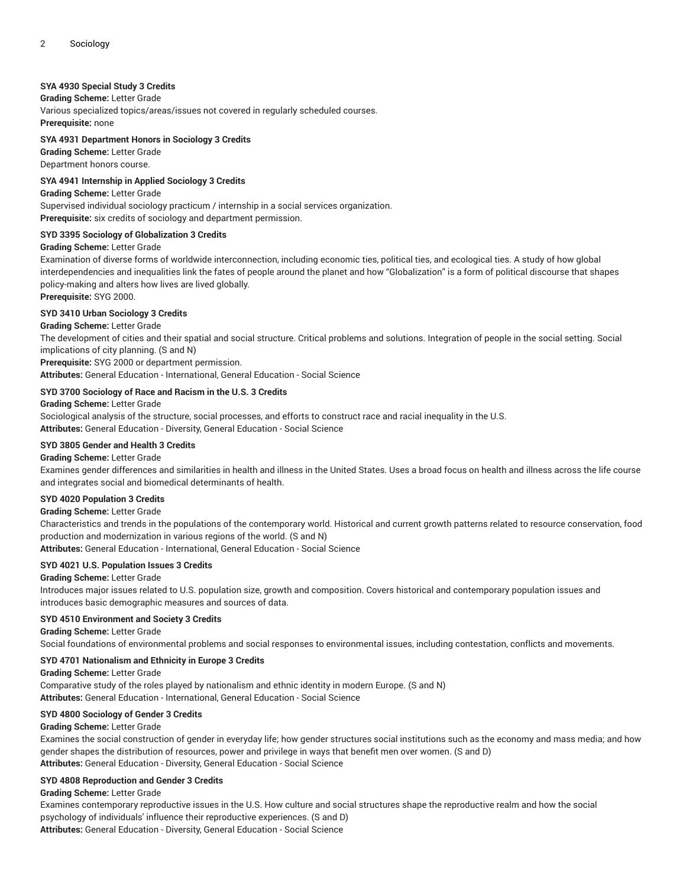# **SYA 4930 Special Study 3 Credits**

# **Grading Scheme:** Letter Grade

Various specialized topics/areas/issues not covered in regularly scheduled courses. **Prerequisite:** none

#### **SYA 4931 Department Honors in Sociology 3 Credits**

**Grading Scheme:** Letter Grade Department honors course.

# **SYA 4941 Internship in Applied Sociology 3 Credits**

**Grading Scheme:** Letter Grade

Supervised individual sociology practicum / internship in a social services organization. **Prerequisite:** six credits of sociology and department permission.

#### **SYD 3395 Sociology of Globalization 3 Credits**

#### **Grading Scheme:** Letter Grade

Examination of diverse forms of worldwide interconnection, including economic ties, political ties, and ecological ties. A study of how global interdependencies and inequalities link the fates of people around the planet and how "Globalization" is a form of political discourse that shapes policy-making and alters how lives are lived globally.

**Prerequisite:** SYG 2000.

# **SYD 3410 Urban Sociology 3 Credits**

# **Grading Scheme:** Letter Grade

The development of cities and their spatial and social structure. Critical problems and solutions. Integration of people in the social setting. Social implications of city planning. (S and N)

**Prerequisite:** SYG 2000 or department permission.

**Attributes:** General Education - International, General Education - Social Science

#### **SYD 3700 Sociology of Race and Racism in the U.S. 3 Credits**

#### **Grading Scheme:** Letter Grade

Sociological analysis of the structure, social processes, and efforts to construct race and racial inequality in the U.S. **Attributes:** General Education - Diversity, General Education - Social Science

#### **SYD 3805 Gender and Health 3 Credits**

#### **Grading Scheme:** Letter Grade

Examines gender differences and similarities in health and illness in the United States. Uses a broad focus on health and illness across the life course and integrates social and biomedical determinants of health.

#### **SYD 4020 Population 3 Credits**

# **Grading Scheme:** Letter Grade

Characteristics and trends in the populations of the contemporary world. Historical and current growth patterns related to resource conservation, food production and modernization in various regions of the world. (S and N)

**Attributes:** General Education - International, General Education - Social Science

# **SYD 4021 U.S. Population Issues 3 Credits**

#### **Grading Scheme:** Letter Grade

Introduces major issues related to U.S. population size, growth and composition. Covers historical and contemporary population issues and introduces basic demographic measures and sources of data.

#### **SYD 4510 Environment and Society 3 Credits**

**Grading Scheme:** Letter Grade Social foundations of environmental problems and social responses to environmental issues, including contestation, conflicts and movements.

#### **SYD 4701 Nationalism and Ethnicity in Europe 3 Credits**

**Grading Scheme:** Letter Grade

Comparative study of the roles played by nationalism and ethnic identity in modern Europe. (S and N) **Attributes:** General Education - International, General Education - Social Science

#### **SYD 4800 Sociology of Gender 3 Credits**

#### **Grading Scheme:** Letter Grade

Examines the social construction of gender in everyday life; how gender structures social institutions such as the economy and mass media; and how gender shapes the distribution of resources, power and privilege in ways that benefit men over women. (S and D) **Attributes:** General Education - Diversity, General Education - Social Science

#### **SYD 4808 Reproduction and Gender 3 Credits**

#### **Grading Scheme:** Letter Grade

Examines contemporary reproductive issues in the U.S. How culture and social structures shape the reproductive realm and how the social psychology of individuals' influence their reproductive experiences. (S and D)

**Attributes:** General Education - Diversity, General Education - Social Science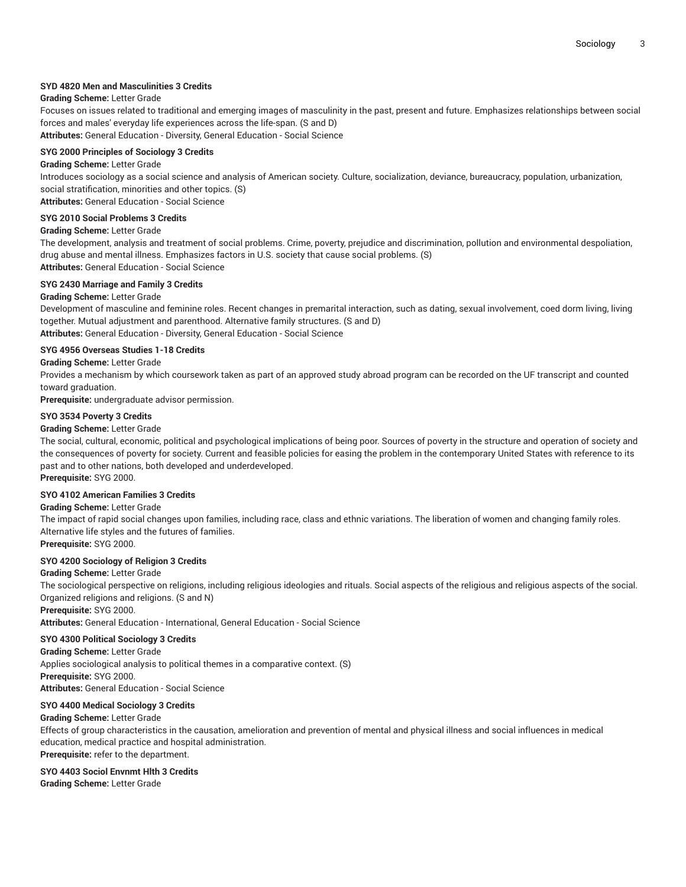# **SYD 4820 Men and Masculinities 3 Credits**

# **Grading Scheme:** Letter Grade

Focuses on issues related to traditional and emerging images of masculinity in the past, present and future. Emphasizes relationships between social forces and males' everyday life experiences across the life-span. (S and D)

**Attributes:** General Education - Diversity, General Education - Social Science

#### **SYG 2000 Principles of Sociology 3 Credits**

#### **Grading Scheme:** Letter Grade

Introduces sociology as a social science and analysis of American society. Culture, socialization, deviance, bureaucracy, population, urbanization, social stratification, minorities and other topics. (S)

**Attributes:** General Education - Social Science

#### **SYG 2010 Social Problems 3 Credits**

#### **Grading Scheme:** Letter Grade

The development, analysis and treatment of social problems. Crime, poverty, prejudice and discrimination, pollution and environmental despoliation, drug abuse and mental illness. Emphasizes factors in U.S. society that cause social problems. (S)

**Attributes:** General Education - Social Science

# **SYG 2430 Marriage and Family 3 Credits**

#### **Grading Scheme:** Letter Grade

Development of masculine and feminine roles. Recent changes in premarital interaction, such as dating, sexual involvement, coed dorm living, living together. Mutual adjustment and parenthood. Alternative family structures. (S and D) **Attributes:** General Education - Diversity, General Education - Social Science

#### **SYG 4956 Overseas Studies 1-18 Credits**

#### **Grading Scheme:** Letter Grade

Provides a mechanism by which coursework taken as part of an approved study abroad program can be recorded on the UF transcript and counted toward graduation.

**Prerequisite:** undergraduate advisor permission.

#### **SYO 3534 Poverty 3 Credits**

#### **Grading Scheme:** Letter Grade

The social, cultural, economic, political and psychological implications of being poor. Sources of poverty in the structure and operation of society and the consequences of poverty for society. Current and feasible policies for easing the problem in the contemporary United States with reference to its past and to other nations, both developed and underdeveloped.

**Prerequisite:** SYG 2000.

#### **SYO 4102 American Families 3 Credits**

# **Grading Scheme:** Letter Grade

The impact of rapid social changes upon families, including race, class and ethnic variations. The liberation of women and changing family roles. Alternative life styles and the futures of families.

**Prerequisite:** SYG 2000.

#### **SYO 4200 Sociology of Religion 3 Credits**

#### **Grading Scheme:** Letter Grade

The sociological perspective on religions, including religious ideologies and rituals. Social aspects of the religious and religious aspects of the social. Organized religions and religions. (S and N)

**Prerequisite:** SYG 2000.

**Attributes:** General Education - International, General Education - Social Science

# **SYO 4300 Political Sociology 3 Credits**

**Grading Scheme:** Letter Grade Applies sociological analysis to political themes in a comparative context. (S) **Prerequisite:** SYG 2000. **Attributes:** General Education - Social Science

#### **SYO 4400 Medical Sociology 3 Credits**

#### **Grading Scheme:** Letter Grade

Effects of group characteristics in the causation, amelioration and prevention of mental and physical illness and social influences in medical education, medical practice and hospital administration. **Prerequisite:** refer to the department.

# **SYO 4403 Sociol Envnmt Hlth 3 Credits**

**Grading Scheme:** Letter Grade